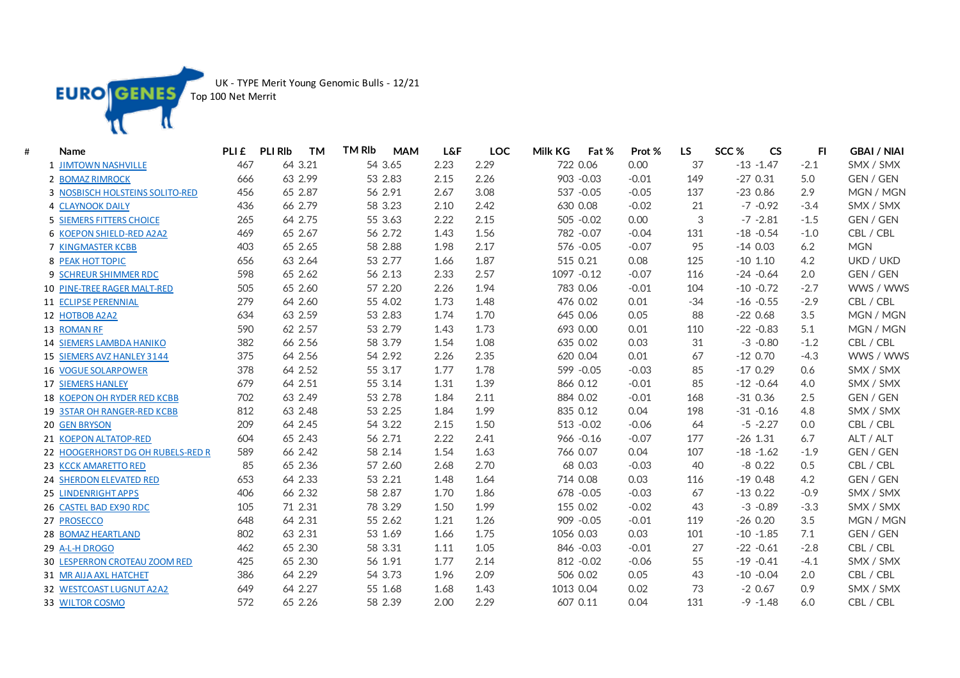

UK - TYPE Merit Young Genomic Bulls - 12/21

Top 100 Net Merrit

| # | <b>Name</b>                          | PLI £ | <b>PLI RIb</b><br><b>TM</b> | <b>TM RIb</b><br><b>MAM</b> | <b>L&amp;F</b> | <b>LOC</b> | Milk KG<br>Fat % | Prot %  | <b>LS</b> | SCC <sub>%</sub><br><b>CS</b> | FI.    | <b>GBAI / NIAI</b> |
|---|--------------------------------------|-------|-----------------------------|-----------------------------|----------------|------------|------------------|---------|-----------|-------------------------------|--------|--------------------|
|   | 1 JIMTOWN NASHVILLE                  | 467   | 64 3.21                     | 54 3.65                     | 2.23           | 2.29       | 722 0.06         | 0.00    | 37        | $-13 - 1.47$                  | $-2.1$ | SMX / SMX          |
|   | 2 BOMAZ RIMROCK                      | 666   | 63 2.99                     | 53 2.83                     | 2.15           | 2.26       | 903 - 0.03       | $-0.01$ | 149       | $-270.31$                     | 5.0    | GEN / GEN          |
|   | 3 NOSBISCH HOLSTEINS SOLITO-RED      | 456   | 65 2.87                     | 56 2.91                     | 2.67           | 3.08       | 537 -0.05        | $-0.05$ | 137       | $-230.86$                     | 2.9    | MGN / MGN          |
|   | <b>4 CLAYNOOK DAILY</b>              | 436   | 66 2.79                     | 58 3.23                     | 2.10           | 2.42       | 630 0.08         | $-0.02$ | 21        | $-7 - 0.92$                   | $-3.4$ | SMX / SMX          |
|   | 5 SIEMERS FITTERS CHOICE             | 265   | 64 2.75                     | 55 3.63                     | 2.22           | 2.15       | 505 -0.02        | 0.00    | 3         | $-7 - 2.81$                   | $-1.5$ | GEN / GEN          |
|   | 6 KOEPON SHIELD-RED A2A2             | 469   | 65 2.67                     | 56 2.72                     | 1.43           | 1.56       | 782 - 0.07       | $-0.04$ | 131       | $-18 - 0.54$                  | $-1.0$ | CBL / CBL          |
|   | 7 KINGMASTER KCBB                    | 403   | 65 2.65                     | 58 2.88                     | 1.98           | 2.17       | 576 - 0.05       | $-0.07$ | 95        | $-140.03$                     | 6.2    | <b>MGN</b>         |
|   | 8 PEAK HOT TOPIC                     | 656   | 63 2.64                     | 53 2.77                     | 1.66           | 1.87       | 515 0.21         | 0.08    | 125       | $-10$ 1.10                    | 4.2    | UKD / UKD          |
|   | 9 SCHREUR SHIMMER RDC                | 598   | 65 2.62                     | 56 2.13                     | 2.33           | 2.57       | 1097 - 0.12      | $-0.07$ | 116       | $-24 - 0.64$                  | 2.0    | GEN / GEN          |
|   | 10 PINE-TREE RAGER MALT-RED          | 505   | 65 2.60                     | 57 2.20                     | 2.26           | 1.94       | 783 0.06         | $-0.01$ | 104       | $-10 - 0.72$                  | $-2.7$ | WWS / WWS          |
|   | 11 ECLIPSE PERENNIAL                 | 279   | 64 2.60                     | 55 4.02                     | 1.73           | 1.48       | 476 0.02         | 0.01    | $-34$     | $-16 - 0.55$                  | $-2.9$ | CBL / CBL          |
|   | 12 HOTBOB A2A2                       | 634   | 63 2.59                     | 53 2.83                     | 1.74           | 1.70       | 645 0.06         | 0.05    | 88        | $-220.68$                     | 3.5    | MGN / MGN          |
|   | 13 ROMAN RF                          | 590   | 62 2.57                     | 53 2.79                     | 1.43           | 1.73       | 693 0.00         | 0.01    | 110       | $-22 - 0.83$                  | 5.1    | MGN / MGN          |
|   | <b>14 SIEMERS LAMBDA HANIKO</b>      | 382   | 66 2.56                     | 58 3.79                     | 1.54           | 1.08       | 635 0.02         | 0.03    | 31        | $-3 - 0.80$                   | $-1.2$ | CBL / CBL          |
|   | 15 SIEMERS AVZ HANLEY 3144           | 375   | 64 2.56                     | 54 2.92                     | 2.26           | 2.35       | 620 0.04         | 0.01    | 67        | $-120.70$                     | $-4.3$ | WWS / WWS          |
|   | 16 VOGUE SOLARPOWER                  | 378   | 64 2.52                     | 55 3.17                     | 1.77           | 1.78       | 599 - 0.05       | $-0.03$ | 85        | $-170.29$                     | 0.6    | SMX / SMX          |
|   | <b>17 SIEMERS HANLEY</b>             | 679   | 64 2.51                     | 55 3.14                     | 1.31           | 1.39       | 866 0.12         | $-0.01$ | 85        | $-12 - 0.64$                  | 4.0    | SMX / SMX          |
|   | <b>18 KOEPON OH RYDER RED KCBB</b>   | 702   | 63 2.49                     | 53 2.78                     | 1.84           | 2.11       | 884 0.02         | $-0.01$ | 168       | $-310.36$                     | 2.5    | GEN / GEN          |
|   | 19 3STAR OH RANGER-RED KCBB          | 812   | 63 2.48                     | 53 2.25                     | 1.84           | 1.99       | 835 0.12         | 0.04    | 198       | $-31 - 0.16$                  | 4.8    | SMX / SMX          |
|   | <b>20 GEN BRYSON</b>                 | 209   | 64 2.45                     | 54 3.22                     | 2.15           | 1.50       | 513 - 0.02       | $-0.06$ | 64        | $-5 - 2.27$                   | 0.0    | CBL / CBL          |
|   | 21 KOEPON ALTATOP-RED                | 604   | 65 2.43                     | 56 2.71                     | 2.22           | 2.41       | $966 - 0.16$     | $-0.07$ | 177       | $-26$ 1.31                    | 6.7    | ALT / ALT          |
|   | 22 HOOGERHORST DG OH RUBELS-RED R    | 589   | 66 2.42                     | 58 2.14                     | 1.54           | 1.63       | 766 0.07         | 0.04    | 107       | $-18 - 1.62$                  | $-1.9$ | GEN / GEN          |
|   | 23 KCCK AMARETTO RED                 | 85    | 65 2.36                     | 57 2.60                     | 2.68           | 2.70       | 68 0.03          | $-0.03$ | 40        | $-8$ 0.22                     | 0.5    | CBL / CBL          |
|   | 24 SHERDON ELEVATED RED              | 653   | 64 2.33                     | 53 2.21                     | 1.48           | 1.64       | 714 0.08         | 0.03    | 116       | $-190.48$                     | 4.2    | GEN / GEN          |
|   | 25 LINDENRIGHT APPS                  | 406   | 66 2.32                     | 58 2.87                     | 1.70           | 1.86       | 678 - 0.05       | $-0.03$ | 67        | $-130.22$                     | $-0.9$ | SMX / SMX          |
|   | 26 CASTEL BAD EX90 RDC               | 105   | 71 2.31                     | 78 3.29                     | 1.50           | 1.99       | 155 0.02         | $-0.02$ | 43        | $-3 - 0.89$                   | $-3.3$ | SMX / SMX          |
|   | 27 PROSECCO                          | 648   | 64 2.31                     | 55 2.62                     | 1.21           | 1.26       | 909 - 0.05       | $-0.01$ | 119       | $-260.20$                     | 3.5    | MGN / MGN          |
|   | 28 BOMAZ HEARTLAND                   | 802   | 63 2.31                     | 53 1.69                     | 1.66           | 1.75       | 1056 0.03        | 0.03    | 101       | $-10 - 1.85$                  | 7.1    | GEN / GEN          |
|   | 29 A-L-H DROGO                       | 462   | 65 2.30                     | 58 3.31                     | 1.11           | 1.05       | 846 - 0.03       | $-0.01$ | 27        | $-22 - 0.61$                  | $-2.8$ | CBL / CBL          |
|   | <b>30 LESPERRON CROTEAU ZOOM RED</b> | 425   | 65 2.30                     | 56 1.91                     | 1.77           | 2.14       | 812 - 0.02       | $-0.06$ | 55        | $-19 - 0.41$                  | $-4.1$ | SMX / SMX          |
|   | 31 MR AIJA AXL HATCHET               | 386   | 64 2.29                     | 54 3.73                     | 1.96           | 2.09       | 506 0.02         | 0.05    | 43        | $-10 - 0.04$                  | 2.0    | CBL / CBL          |
|   | 32 WESTCOAST LUGNUT A2A2             | 649   | 64 2.27                     | 55 1.68                     | 1.68           | 1.43       | 1013 0.04        | 0.02    | 73        | $-20.67$                      | 0.9    | SMX / SMX          |
|   | 33 WILTOR COSMO                      | 572   | 65 2.26                     | 58 2.39                     | 2.00           | 2.29       | 607 0.11         | 0.04    | 131       | $-9 - 1.48$                   | 6.0    | CBL / CBL          |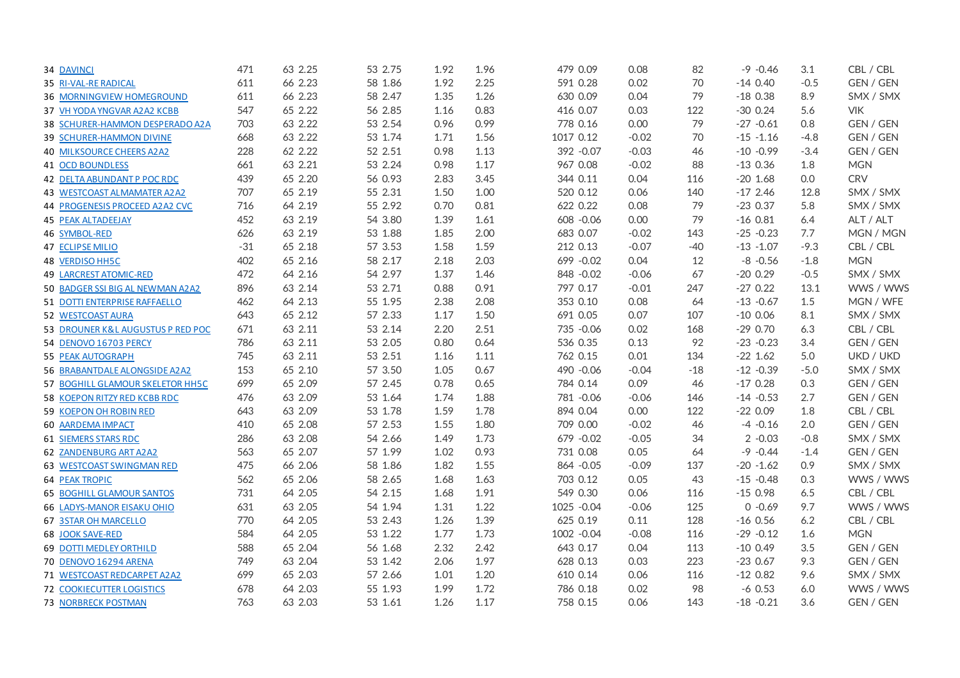| 34 DAVINCI                        | 471   | 63 2.25 | 53 2.75 | 1.92 | 1.96 | 479 0.09    | 0.08    | 82    | $-9 - 0.46$  | 3.1    | CBL / CBL  |
|-----------------------------------|-------|---------|---------|------|------|-------------|---------|-------|--------------|--------|------------|
| 35 RI-VAL-RE RADICAL              | 611   | 66 2.23 | 58 1.86 | 1.92 | 2.25 | 591 0.28    | 0.02    | 70    | $-140.40$    | $-0.5$ | GEN / GEN  |
| 36 MORNINGVIEW HOMEGROUND         | 611   | 66 2.23 | 58 2.47 | 1.35 | 1.26 | 630 0.09    | 0.04    | 79    | $-180.38$    | 8.9    | SMX / SMX  |
| 37 VH YODA YNGVAR A2A2 KCBB       | 547   | 65 2.22 | 56 2.85 | 1.16 | 0.83 | 416 0.07    | 0.03    | 122   | $-300.24$    | 5.6    | <b>VIK</b> |
| 38 SCHURER-HAMMON DESPERADO A2A   | 703   | 63 2.22 | 53 2.54 | 0.96 | 0.99 | 778 0.16    | 0.00    | 79    | $-27 -0.61$  | 0.8    | GEN / GEN  |
| 39 SCHURER-HAMMON DIVINE          | 668   | 63 2.22 | 53 1.74 | 1.71 | 1.56 | 1017 0.12   | $-0.02$ | 70    | $-15 - 1.16$ | $-4.8$ | GEN / GEN  |
| 40 MILKSOURCE CHEERS A2A2         | 228   | 62 2.22 | 52 2.51 | 0.98 | 1.13 | 392 - 0.07  | $-0.03$ | 46    | $-10 - 0.99$ | $-3.4$ | GEN / GEN  |
| 41 OCD BOUNDLESS                  | 661   | 63 2.21 | 53 2.24 | 0.98 | 1.17 | 967 0.08    | $-0.02$ | 88    | $-130.36$    | 1.8    | <b>MGN</b> |
| 42 DELTA ABUNDANT P POC RDC       | 439   | 65 2.20 | 56 0.93 | 2.83 | 3.45 | 344 0.11    | 0.04    | 116   | $-20$ 1.68   | 0.0    | <b>CRV</b> |
| 43 WESTCOAST ALMAMATER A2A2       | 707   | 65 2.19 | 55 2.31 | 1.50 | 1.00 | 520 0.12    | 0.06    | 140   | $-172.46$    | 12.8   | SMX / SMX  |
| 44 PROGENESIS PROCEED A2A2 CVC    | 716   | 64 2.19 | 55 2.92 | 0.70 | 0.81 | 622 0.22    | 0.08    | 79    | $-230.37$    | 5.8    | SMX / SMX  |
| 45 PEAK ALTADEEJAY                | 452   | 63 2.19 | 54 3.80 | 1.39 | 1.61 | 608 - 0.06  | 0.00    | 79    | $-160.81$    | 6.4    | ALT / ALT  |
| 46 SYMBOL-RED                     | 626   | 63 2.19 | 53 1.88 | 1.85 | 2.00 | 683 0.07    | $-0.02$ | 143   | $-25 - 0.23$ | 7.7    | MGN / MGN  |
| <b>47 ECLIPSE MILIO</b>           | $-31$ | 65 2.18 | 57 3.53 | 1.58 | 1.59 | 212 0.13    | $-0.07$ | $-40$ | $-13 - 1.07$ | $-9.3$ | CBL / CBL  |
| <b>48 VERDISO HH5C</b>            | 402   | 65 2.16 | 58 2.17 | 2.18 | 2.03 | 699 - 0.02  | 0.04    | 12    | $-8 - 0.56$  | $-1.8$ | <b>MGN</b> |
| <b>49 LARCREST ATOMIC-RED</b>     | 472   | 64 2.16 | 54 2.97 | 1.37 | 1.46 | 848 - 0.02  | $-0.06$ | 67    | $-200.29$    | $-0.5$ | SMX / SMX  |
| 50 BADGER SSI BIG AL NEWMAN A2A2  | 896   | 63 2.14 | 53 2.71 | 0.88 | 0.91 | 797 0.17    | $-0.01$ | 247   | $-270.22$    | 13.1   | WWS / WWS  |
| 51 DOTTI ENTERPRISE RAFFAELLO     | 462   | 64 2.13 | 55 1.95 | 2.38 | 2.08 | 353 0.10    | 0.08    | 64    | $-13 - 0.67$ | 1.5    | MGN / WFE  |
| 52 WESTCOAST AURA                 | 643   | 65 2.12 | 57 2.33 | 1.17 | 1.50 | 691 0.05    | 0.07    | 107   | $-100.06$    | 8.1    | SMX / SMX  |
| 53 DROUNER K&L AUGUSTUS P RED POC | 671   | 63 2.11 | 53 2.14 | 2.20 | 2.51 | 735 - 0.06  | 0.02    | 168   | $-290.70$    | 6.3    | CBL / CBL  |
| 54 DENOVO 16703 PERCY             | 786   | 63 2.11 | 53 2.05 | 0.80 | 0.64 | 536 0.35    | 0.13    | 92    | $-23 - 0.23$ | 3.4    | GEN / GEN  |
| <b>55 PEAK AUTOGRAPH</b>          | 745   | 63 2.11 | 53 2.51 | 1.16 | 1.11 | 762 0.15    | 0.01    | 134   | $-22$ 1.62   | 5.0    | UKD / UKD  |
| 56 BRABANTDALE ALONGSIDE A2A2     | 153   | 65 2.10 | 57 3.50 | 1.05 | 0.67 | 490 - 0.06  | $-0.04$ | $-18$ | $-12 - 0.39$ | $-5.0$ | SMX / SMX  |
| 57 BOGHILL GLAMOUR SKELETOR HH5C  | 699   | 65 2.09 | 57 2.45 | 0.78 | 0.65 | 784 0.14    | 0.09    | 46    | $-170.28$    | 0.3    | GEN / GEN  |
| 58 KOEPON RITZY RED KCBB RDC      | 476   | 63 2.09 | 53 1.64 | 1.74 | 1.88 | 781 - 0.06  | $-0.06$ | 146   | $-14 - 0.53$ | 2.7    | GEN / GEN  |
| 59 KOEPON OH ROBIN RED            | 643   | 63 2.09 | 53 1.78 | 1.59 | 1.78 | 894 0.04    | 0.00    | 122   | $-220.09$    | 1.8    | CBL / CBL  |
| 60 AARDEMA IMPACT                 | 410   | 65 2.08 | 57 2.53 | 1.55 | 1.80 | 709 0.00    | $-0.02$ | 46    | $-4 - 0.16$  | 2.0    | GEN / GEN  |
| <b>61 SIEMERS STARS RDC</b>       | 286   | 63 2.08 | 54 2.66 | 1.49 | 1.73 | 679 - 0.02  | $-0.05$ | 34    | $2 -0.03$    | $-0.8$ | SMX / SMX  |
| <b>62 ZANDENBURG ART A2A2</b>     | 563   | 65 2.07 | 57 1.99 | 1.02 | 0.93 | 731 0.08    | 0.05    | 64    | $-9 - 0.44$  | $-1.4$ | GEN / GEN  |
| <b>63 WESTCOAST SWINGMAN RED</b>  | 475   | 66 2.06 | 58 1.86 | 1.82 | 1.55 | 864 - 0.05  | $-0.09$ | 137   | $-20 - 1.62$ | 0.9    | SMX / SMX  |
| <b>64 PEAK TROPIC</b>             | 562   | 65 2.06 | 58 2.65 | 1.68 | 1.63 | 703 0.12    | 0.05    | 43    | $-15 - 0.48$ | 0.3    | WWS / WWS  |
| <b>65 BOGHILL GLAMOUR SANTOS</b>  | 731   | 64 2.05 | 54 2.15 | 1.68 | 1.91 | 549 0.30    | 0.06    | 116   | $-150.98$    | 6.5    | CBL / CBL  |
| <b>66 LADYS-MANOR EISAKU OHIO</b> | 631   | 63 2.05 | 54 1.94 | 1.31 | 1.22 | 1025 -0.04  | $-0.06$ | 125   | $0 -0.69$    | 9.7    | WWS / WWS  |
| 67 3STAR OH MARCELLO              | 770   | 64 2.05 | 53 2.43 | 1.26 | 1.39 | 625 0.19    | 0.11    | 128   | $-160.56$    | 6.2    | CBL / CBL  |
| 68 JOOK SAVE-RED                  | 584   | 64 2.05 | 53 1.22 | 1.77 | 1.73 | 1002 - 0.04 | $-0.08$ | 116   | $-29 - 0.12$ | 1.6    | <b>MGN</b> |
| <b>69 DOTTI MEDLEY ORTHILD</b>    | 588   | 65 2.04 | 56 1.68 | 2.32 | 2.42 | 643 0.17    | 0.04    | 113   | $-100.49$    | 3.5    | GEN / GEN  |
| 70 DENOVO 16294 ARENA             | 749   | 63 2.04 | 53 1.42 | 2.06 | 1.97 | 628 0.13    | 0.03    | 223   | $-230.67$    | 9.3    | GEN / GEN  |
| 71 WESTCOAST REDCARPET A2A2       | 699   | 65 2.03 | 57 2.66 | 1.01 | 1.20 | 610 0.14    | 0.06    | 116   | $-120.82$    | 9.6    | SMX / SMX  |
| <b>72 COOKIECUTTER LOGISTICS</b>  | 678   | 64 2.03 | 55 1.93 | 1.99 | 1.72 | 786 0.18    | 0.02    | 98    | $-60.53$     | 6.0    | WWS / WWS  |
| <b>73 NORBRECK POSTMAN</b>        | 763   | 63 2.03 | 53 1.61 | 1.26 | 1.17 | 758 0.15    | 0.06    | 143   | $-18 - 0.21$ | 3.6    | GEN / GEN  |